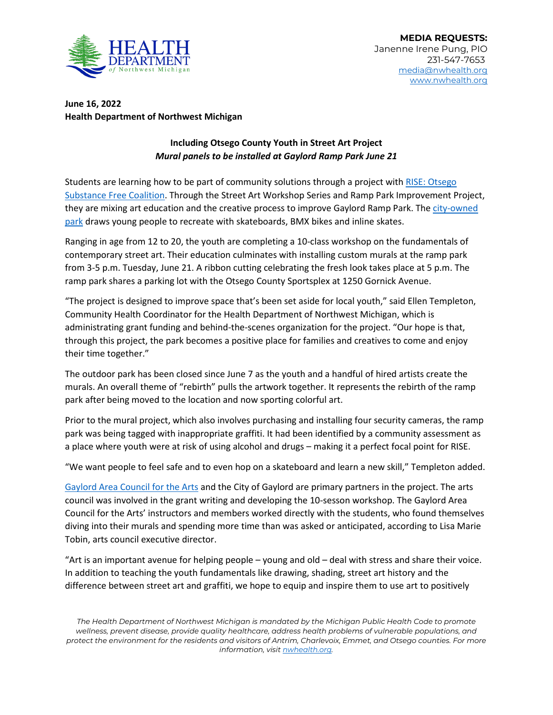

**June 16, 2022 Health Department of Northwest Michigan** 

## **Including Otsego County Youth in Street Art Project** *Mural panels to be installed at Gaylord Ramp Park June 21*

Students are learning how to be part of community solutions through a project with [RISE: Otsego](http://www.riseotsego.com/)  [Substance Free Coalition.](http://www.riseotsego.com/) Through the Street Art Workshop Series and Ramp Park Improvement Project, they are mixing art education and the creative process to improve Gaylord Ramp Park. The city-owned [park](https://cityofgaylord.com/category/ramp-park/) draws young people to recreate with skateboards, BMX bikes and inline skates.

Ranging in age from 12 to 20, the youth are completing a 10-class workshop on the fundamentals of contemporary street art. Their education culminates with installing custom murals at the ramp park from 3-5 p.m. Tuesday, June 21. A ribbon cutting celebrating the fresh look takes place at 5 p.m. The ramp park shares a parking lot with the Otsego County Sportsplex at 1250 Gornick Avenue.

"The project is designed to improve space that's been set aside for local youth," said Ellen Templeton, Community Health Coordinator for the Health Department of Northwest Michigan, which is administrating grant funding and behind-the-scenes organization for the project. "Our hope is that, through this project, the park becomes a positive place for families and creatives to come and enjoy their time together."

The outdoor park has been closed since June 7 as the youth and a handful of hired artists create the murals. An overall theme of "rebirth" pulls the artwork together. It represents the rebirth of the ramp park after being moved to the location and now sporting colorful art.

Prior to the mural project, which also involves purchasing and installing four security cameras, the ramp park was being tagged with inappropriate graffiti. It had been identified by a community assessment as a place where youth were at risk of using alcohol and drugs – making it a perfect focal point for RISE.

"We want people to feel safe and to even hop on a skateboard and learn a new skill," Templeton added.

[Gaylord Area Council for the Arts](https://www.gaylordarts.org/) and the City of Gaylord are primary partners in the project. The arts council was involved in the grant writing and developing the 10-sesson workshop. The Gaylord Area Council for the Arts' instructors and members worked directly with the students, who found themselves diving into their murals and spending more time than was asked or anticipated, according to Lisa Marie Tobin, arts council executive director.

"Art is an important avenue for helping people – young and old – deal with stress and share their voice. In addition to teaching the youth fundamentals like drawing, shading, street art history and the difference between street art and graffiti, we hope to equip and inspire them to use art to positively